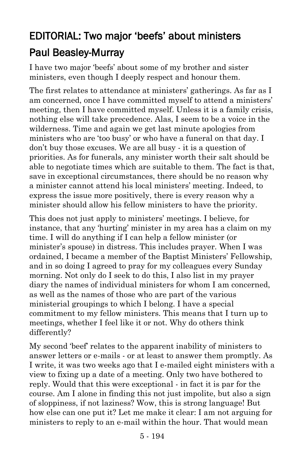## EDITORIAL: Two major 'beefs' about ministers [Paul Beasley-Murray](https://www.ministrytoday.org.uk/magazine/authors/423/)

I have two major 'beefs' about some of my brother and sister ministers, even though I deeply respect and honour them.

The first relates to attendance at ministers' gatherings. As far as I am concerned, once I have committed myself to attend a ministers' meeting, then I have committed myself. Unless it is a family crisis, nothing else will take precedence. Alas, I seem to be a voice in the wilderness. Time and again we get last minute apologies from ministers who are 'too busy' or who have a funeral on that day. I don't buy those excuses. We are all busy - it is a question of priorities. As for funerals, any minister worth their salt should be able to negotiate times which are suitable to them. The fact is that, save in exceptional circumstances, there should be no reason why a minister cannot attend his local ministers' meeting. Indeed, to express the issue more positively, there is every reason why a minister should allow his fellow ministers to have the priority.

This does not just apply to ministers' meetings. I believe, for instance, that any 'hurting' minister in my area has a claim on my time. I will do anything if I can help a fellow minister (or minister's spouse) in distress. This includes prayer. When I was ordained, I became a member of the Baptist Ministers' Fellowship, and in so doing I agreed to pray for my colleagues every Sunday morning. Not only do I seek to do this, I also list in my prayer diary the names of individual ministers for whom I am concerned, as well as the names of those who are part of the various ministerial groupings to which I belong. I have a special commitment to my fellow ministers. This means that I turn up to meetings, whether I feel like it or not. Why do others think differently?

My second 'beef' relates to the apparent inability of ministers to answer letters or e-mails - or at least to answer them promptly. As I write, it was two weeks ago that I e-mailed eight ministers with a view to fixing up a date of a meeting. Only two have bothered to reply. Would that this were exceptional - in fact it is par for the course. Am I alone in finding this not just impolite, but also a sign of sloppiness, if not laziness? Wow, this is strong language! But how else can one put it? Let me make it clear: I am not arguing for ministers to reply to an e-mail within the hour. That would mean